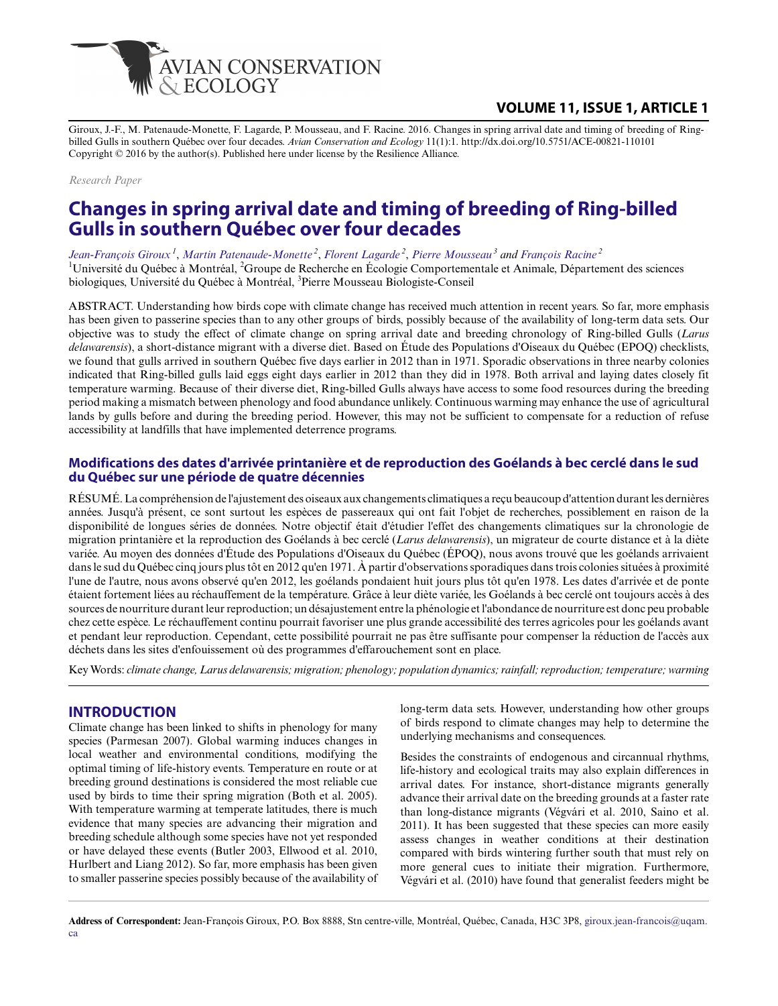

# **VOLUME 11, ISSUE 1, ARTICLE 1**

Giroux, J.-F., M. Patenaude-Monette, F. Lagarde, P. Mousseau, and F. Racine. 2016. Changes in spring arrival date and timing of breeding of Ringbilled Gulls in southern Québec over four decades. *Avian Conservation and Ecology* 11(1):1. http://dx.doi.org/10.5751/ACE-00821-110101 Copyright © 2016 by the author(s). Published here under license by the Resilience Alliance.

*Research Paper*

# **Changes in spring arrival date and timing of breeding of Ring-billed Gulls in southern Québec over four decades**

*[Jean-François Giroux](mailto:giroux.jean-francois@uqam.ca)<sup>1</sup>* , *[Martin Patenaude-Monette](mailto:mpatenaudemonette@gmail.com)<sup>2</sup>* , *[Florent Lagarde](mailto:florent_12@hotmail.fr)<sup>2</sup>* , *[Pierre Mousseau](mailto:pierre.mousseau@videotron.ca)<sup>3</sup> and [François Racine](mailto:racine.francois@gmail.com)<sup>2</sup>*

 $1$ Université du Québec à Montréal, <sup>2</sup>Groupe de Recherche en Écologie Comportementale et Animale, Département des sciences biologiques, Université du Québec à Montréal, <sup>3</sup>Pierre Mousseau Biologiste-Conseil

ABSTRACT. Understanding how birds cope with climate change has received much attention in recent years. So far, more emphasis has been given to passerine species than to any other groups of birds, possibly because of the availability of long-term data sets. Our objective was to study the effect of climate change on spring arrival date and breeding chronology of Ring-billed Gulls (*Larus delawarensis*), a short-distance migrant with a diverse diet. Based on Étude des Populations d'Oiseaux du Québec (EPOQ) checklists, we found that gulls arrived in southern Québec five days earlier in 2012 than in 1971. Sporadic observations in three nearby colonies indicated that Ring-billed gulls laid eggs eight days earlier in 2012 than they did in 1978. Both arrival and laying dates closely fit temperature warming. Because of their diverse diet, Ring-billed Gulls always have access to some food resources during the breeding period making a mismatch between phenology and food abundance unlikely. Continuous warming may enhance the use of agricultural lands by gulls before and during the breeding period. However, this may not be sufficient to compensate for a reduction of refuse accessibility at landfills that have implemented deterrence programs.

## **Modifications des dates d'arrivée printanière et de reproduction des Goélands à bec cerclé dans le sud du Québec sur une période de quatre décennies**

RÉSUMÉ. La compréhension de l'ajustement des oiseaux aux changements climatiques a reçu beaucoup d'attention durant les dernières années. Jusqu'à présent, ce sont surtout les espèces de passereaux qui ont fait l'objet de recherches, possiblement en raison de la disponibilité de longues séries de données. Notre objectif était d'étudier l'effet des changements climatiques sur la chronologie de migration printanière et la reproduction des Goélands à bec cerclé (*Larus delawarensis*), un migrateur de courte distance et à la diète variée. Au moyen des données d'Étude des Populations d'Oiseaux du Québec (ÉPOQ), nous avons trouvé que les goélands arrivaient dans le sud du Québec cinq jours plus tôt en 2012 qu'en 1971. À partir d'observations sporadiques dans trois colonies situées à proximité l'une de l'autre, nous avons observé qu'en 2012, les goélands pondaient huit jours plus tôt qu'en 1978. Les dates d'arrivée et de ponte étaient fortement liées au réchauffement de la température. Grâce à leur diète variée, les Goélands à bec cerclé ont toujours accès à des sources de nourriture durant leur reproduction; un désajustement entre la phénologie et l'abondance de nourriture est donc peu probable chez cette espèce. Le réchauffement continu pourrait favoriser une plus grande accessibilité des terres agricoles pour les goélands avant et pendant leur reproduction. Cependant, cette possibilité pourrait ne pas être suffisante pour compenser la réduction de l'accès aux déchets dans les sites d'enfouissement où des programmes d'effarouchement sont en place.

Key Words: *climate change, Larus delawarensis; migration; phenology; population dynamics; rainfall; reproduction; temperature; warming*

# **INTRODUCTION**

Climate change has been linked to shifts in phenology for many species (Parmesan 2007). Global warming induces changes in local weather and environmental conditions, modifying the optimal timing of life-history events. Temperature en route or at breeding ground destinations is considered the most reliable cue used by birds to time their spring migration (Both et al. 2005). With temperature warming at temperate latitudes, there is much evidence that many species are advancing their migration and breeding schedule although some species have not yet responded or have delayed these events (Butler 2003, Ellwood et al. 2010, Hurlbert and Liang 2012). So far, more emphasis has been given to smaller passerine species possibly because of the availability of

long-term data sets. However, understanding how other groups of birds respond to climate changes may help to determine the underlying mechanisms and consequences.

Besides the constraints of endogenous and circannual rhythms, life-history and ecological traits may also explain differences in arrival dates. For instance, short-distance migrants generally advance their arrival date on the breeding grounds at a faster rate than long-distance migrants (Végvári et al. 2010, Saino et al. 2011). It has been suggested that these species can more easily assess changes in weather conditions at their destination compared with birds wintering further south that must rely on more general cues to initiate their migration. Furthermore, Végvári et al. (2010) have found that generalist feeders might be

**Address of Correspondent:** Jean-François Giroux, P.O. Box 8888, Stn centre-ville, Montréal, Québec, Canada, H3C 3P8, [giroux.jean-francois@uqam.](mailto:giroux.jean-francois@uqam.ca) [ca](mailto:giroux.jean-francois@uqam.ca)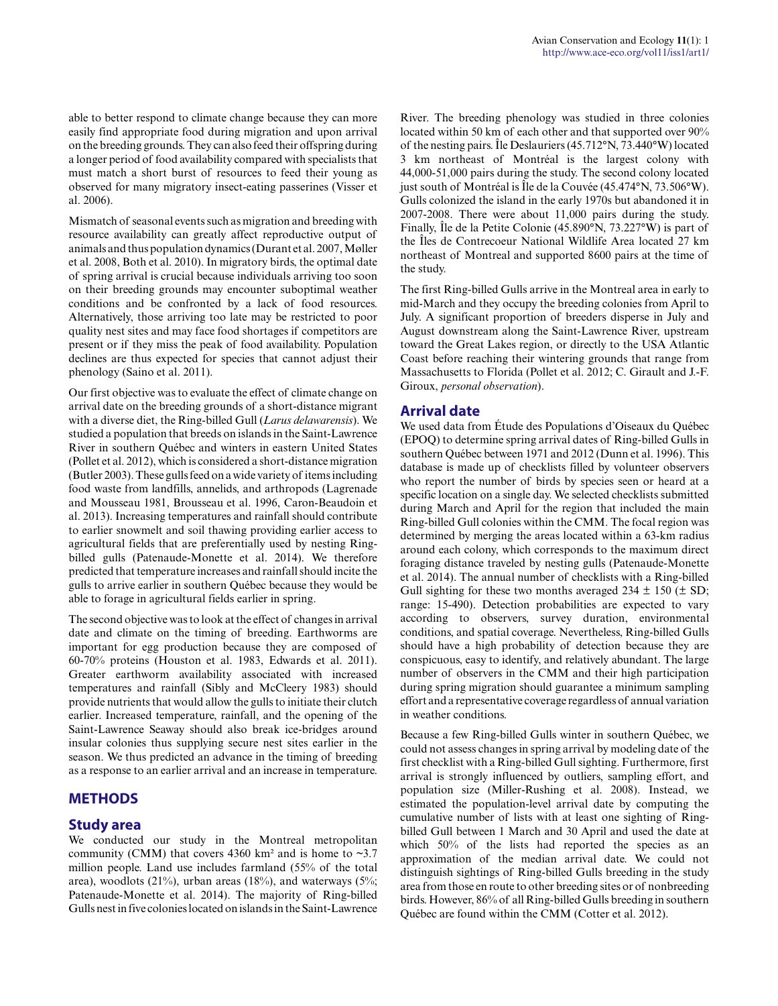able to better respond to climate change because they can more easily find appropriate food during migration and upon arrival on the breeding grounds. They can also feed their offspring during a longer period of food availability compared with specialists that must match a short burst of resources to feed their young as observed for many migratory insect-eating passerines (Visser et al. 2006).

Mismatch of seasonal events such as migration and breeding with resource availability can greatly affect reproductive output of animals and thus population dynamics (Durant et al. 2007, Møller et al. 2008, Both et al. 2010). In migratory birds, the optimal date of spring arrival is crucial because individuals arriving too soon on their breeding grounds may encounter suboptimal weather conditions and be confronted by a lack of food resources. Alternatively, those arriving too late may be restricted to poor quality nest sites and may face food shortages if competitors are present or if they miss the peak of food availability. Population declines are thus expected for species that cannot adjust their phenology (Saino et al. 2011).

Our first objective was to evaluate the effect of climate change on arrival date on the breeding grounds of a short-distance migrant with a diverse diet, the Ring-billed Gull (*Larus delawarensis*). We studied a population that breeds on islands in the Saint-Lawrence River in southern Québec and winters in eastern United States (Pollet et al. 2012), which is considered a short-distance migration (Butler 2003). These gulls feed on a wide variety of items including food waste from landfills, annelids, and arthropods (Lagrenade and Mousseau 1981, Brousseau et al. 1996, Caron-Beaudoin et al. 2013). Increasing temperatures and rainfall should contribute to earlier snowmelt and soil thawing providing earlier access to agricultural fields that are preferentially used by nesting Ringbilled gulls (Patenaude-Monette et al. 2014). We therefore predicted that temperature increases and rainfall should incite the gulls to arrive earlier in southern Québec because they would be able to forage in agricultural fields earlier in spring.

The second objective was to look at the effect of changes in arrival date and climate on the timing of breeding. Earthworms are important for egg production because they are composed of 60-70% proteins (Houston et al. 1983, Edwards et al. 2011). Greater earthworm availability associated with increased temperatures and rainfall (Sibly and McCleery 1983) should provide nutrients that would allow the gulls to initiate their clutch earlier. Increased temperature, rainfall, and the opening of the Saint-Lawrence Seaway should also break ice-bridges around insular colonies thus supplying secure nest sites earlier in the season. We thus predicted an advance in the timing of breeding as a response to an earlier arrival and an increase in temperature.

# **METHODS**

# **Study area**

We conducted our study in the Montreal metropolitan community (CMM) that covers 4360 km<sup>2</sup> and is home to  $\sim$ 3.7 million people. Land use includes farmland (55% of the total area), woodlots (21%), urban areas (18%), and waterways (5%; Patenaude-Monette et al. 2014). The majority of Ring-billed Gulls nest in five colonies located on islands in the Saint-Lawrence River. The breeding phenology was studied in three colonies located within 50 km of each other and that supported over 90% of the nesting pairs. Île Deslauriers (45.712°N, 73.440°W) located 3 km northeast of Montréal is the largest colony with 44,000-51,000 pairs during the study. The second colony located just south of Montréal is Île de la Couvée (45.474°N, 73.506°W). Gulls colonized the island in the early 1970s but abandoned it in 2007-2008. There were about 11,000 pairs during the study. Finally, Île de la Petite Colonie (45.890°N, 73.227°W) is part of the Îles de Contrecoeur National Wildlife Area located 27 km northeast of Montreal and supported 8600 pairs at the time of the study.

The first Ring-billed Gulls arrive in the Montreal area in early to mid-March and they occupy the breeding colonies from April to July. A significant proportion of breeders disperse in July and August downstream along the Saint-Lawrence River, upstream toward the Great Lakes region, or directly to the USA Atlantic Coast before reaching their wintering grounds that range from Massachusetts to Florida (Pollet et al. 2012; C. Girault and J.-F. Giroux, *personal observation*).

### **Arrival date**

We used data from Étude des Populations d'Oiseaux du Québec (EPOQ) to determine spring arrival dates of Ring-billed Gulls in southern Québec between 1971 and 2012 (Dunn et al. 1996). This database is made up of checklists filled by volunteer observers who report the number of birds by species seen or heard at a specific location on a single day. We selected checklists submitted during March and April for the region that included the main Ring-billed Gull colonies within the CMM. The focal region was determined by merging the areas located within a 63-km radius around each colony, which corresponds to the maximum direct foraging distance traveled by nesting gulls (Patenaude-Monette et al. 2014). The annual number of checklists with a Ring-billed Gull sighting for these two months averaged  $234 \pm 150$  ( $\pm$  SD; range: 15-490). Detection probabilities are expected to vary according to observers, survey duration, environmental conditions, and spatial coverage. Nevertheless, Ring-billed Gulls should have a high probability of detection because they are conspicuous, easy to identify, and relatively abundant. The large number of observers in the CMM and their high participation during spring migration should guarantee a minimum sampling effort and a representative coverage regardless of annual variation in weather conditions.

Because a few Ring-billed Gulls winter in southern Québec, we could not assess changes in spring arrival by modeling date of the first checklist with a Ring-billed Gull sighting. Furthermore, first arrival is strongly influenced by outliers, sampling effort, and population size (Miller-Rushing et al. 2008). Instead, we estimated the population-level arrival date by computing the cumulative number of lists with at least one sighting of Ringbilled Gull between 1 March and 30 April and used the date at which 50% of the lists had reported the species as an approximation of the median arrival date. We could not distinguish sightings of Ring-billed Gulls breeding in the study area from those en route to other breeding sites or of nonbreeding birds. However, 86% of all Ring-billed Gulls breeding in southern Québec are found within the CMM (Cotter et al. 2012).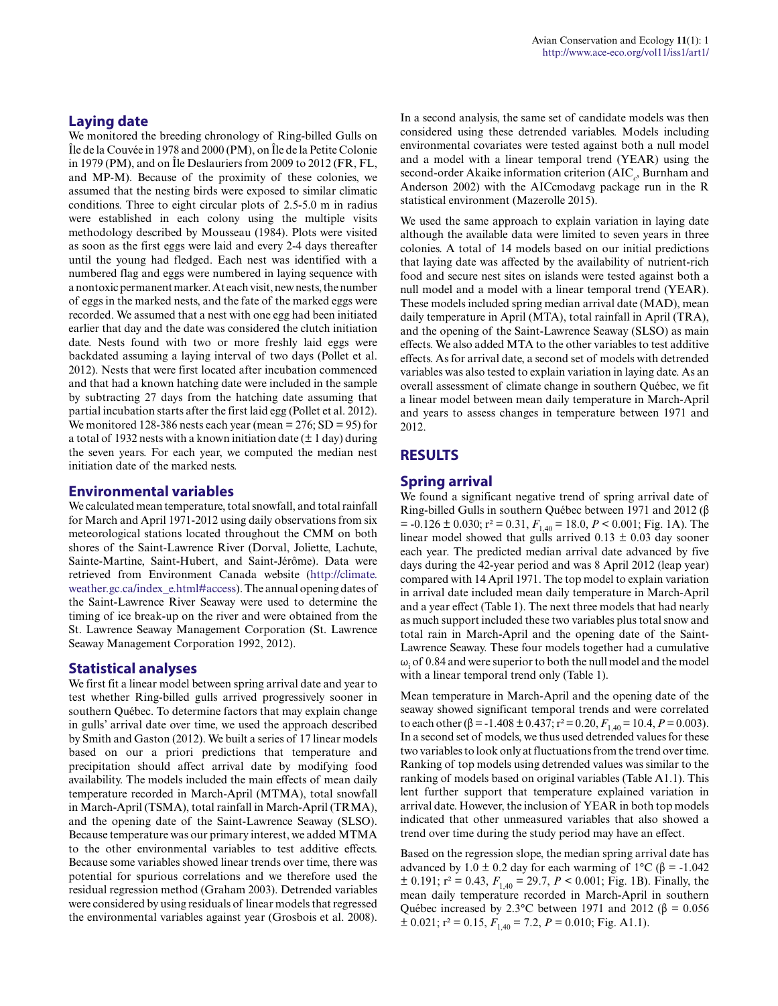## **Laying date**

We monitored the breeding chronology of Ring-billed Gulls on Île de la Couvée in 1978 and 2000 (PM), on Île de la Petite Colonie in 1979 (PM), and on Île Deslauriers from 2009 to 2012 (FR, FL, and MP-M). Because of the proximity of these colonies, we assumed that the nesting birds were exposed to similar climatic conditions. Three to eight circular plots of 2.5-5.0 m in radius were established in each colony using the multiple visits methodology described by Mousseau (1984). Plots were visited as soon as the first eggs were laid and every 2-4 days thereafter until the young had fledged. Each nest was identified with a numbered flag and eggs were numbered in laying sequence with a nontoxic permanent marker. At each visit, new nests, the number of eggs in the marked nests, and the fate of the marked eggs were recorded. We assumed that a nest with one egg had been initiated earlier that day and the date was considered the clutch initiation date. Nests found with two or more freshly laid eggs were backdated assuming a laying interval of two days (Pollet et al. 2012). Nests that were first located after incubation commenced and that had a known hatching date were included in the sample by subtracting 27 days from the hatching date assuming that partial incubation starts after the first laid egg (Pollet et al. 2012). We monitored 128-386 nests each year (mean =  $276$ ; SD =  $95$ ) for a total of 1932 nests with a known initiation date  $(\pm 1 \text{ day})$  during the seven years. For each year, we computed the median nest initiation date of the marked nests.

#### **Environmental variables**

We calculated mean temperature, total snowfall, and total rainfall for March and April 1971-2012 using daily observations from six meteorological stations located throughout the CMM on both shores of the Saint-Lawrence River (Dorval, Joliette, Lachute, Sainte-Martine, Saint-Hubert, and Saint-Jérôme). Data were retrieved from Environment Canada website [\(http://climate.](http://climate.weather.gc.ca/index_e.html#access) [weather.gc.ca/index\\_e.html#access\)](http://climate.weather.gc.ca/index_e.html#access). The annual opening dates of the Saint-Lawrence River Seaway were used to determine the timing of ice break-up on the river and were obtained from the St. Lawrence Seaway Management Corporation (St. Lawrence Seaway Management Corporation 1992, 2012).

#### **Statistical analyses**

We first fit a linear model between spring arrival date and year to test whether Ring-billed gulls arrived progressively sooner in southern Québec. To determine factors that may explain change in gulls' arrival date over time, we used the approach described by Smith and Gaston (2012). We built a series of 17 linear models based on our a priori predictions that temperature and precipitation should affect arrival date by modifying food availability. The models included the main effects of mean daily temperature recorded in March-April (MTMA), total snowfall in March-April (TSMA), total rainfall in March-April (TRMA), and the opening date of the Saint-Lawrence Seaway (SLSO). Because temperature was our primary interest, we added MTMA to the other environmental variables to test additive effects. Because some variables showed linear trends over time, there was potential for spurious correlations and we therefore used the residual regression method (Graham 2003). Detrended variables were considered by using residuals of linear models that regressed the environmental variables against year (Grosbois et al. 2008). In a second analysis, the same set of candidate models was then considered using these detrended variables. Models including environmental covariates were tested against both a null model and a model with a linear temporal trend (YEAR) using the second-order Akaike information criterion (AIC<sub>c</sub>, Burnham and Anderson 2002) with the AICcmodavg package run in the R statistical environment (Mazerolle 2015).

We used the same approach to explain variation in laying date although the available data were limited to seven years in three colonies. A total of 14 models based on our initial predictions that laying date was affected by the availability of nutrient-rich food and secure nest sites on islands were tested against both a null model and a model with a linear temporal trend (YEAR). These models included spring median arrival date (MAD), mean daily temperature in April (MTA), total rainfall in April (TRA), and the opening of the Saint-Lawrence Seaway (SLSO) as main effects. We also added MTA to the other variables to test additive effects. As for arrival date, a second set of models with detrended variables was also tested to explain variation in laying date. As an overall assessment of climate change in southern Québec, we fit a linear model between mean daily temperature in March-April and years to assess changes in temperature between 1971 and 2012.

#### **RESULTS**

#### **Spring arrival**

We found a significant negative trend of spring arrival date of Ring-billed Gulls in southern Québec between 1971 and 2012 (β  $=$  -0.126  $\pm$  0.030;  $r^2$  = 0.31,  $F_{1,40}$  = 18.0,  $P$  < 0.001; Fig. 1A). The linear model showed that gulls arrived  $0.13 \pm 0.03$  day sooner each year. The predicted median arrival date advanced by five days during the 42-year period and was 8 April 2012 (leap year) compared with 14 April 1971. The top model to explain variation in arrival date included mean daily temperature in March-April and a year effect (Table 1). The next three models that had nearly as much support included these two variables plus total snow and total rain in March-April and the opening date of the Saint-Lawrence Seaway. These four models together had a cumulative  $\omega$ <sub>i</sub> of 0.84 and were superior to both the null model and the model with a linear temporal trend only (Table 1).

Mean temperature in March-April and the opening date of the seaway showed significant temporal trends and were correlated to each other ( $\beta$  = -1.408 ± 0.437;  $r^2$  = 0.20,  $F_{1,40}$  = 10.4,  $P$  = 0.003). In a second set of models, we thus used detrended values for these two variables to look only at fluctuations from the trend over time. Ranking of top models using detrended values was similar to the ranking of models based on original variables (Table A1.1). This lent further support that temperature explained variation in arrival date. However, the inclusion of YEAR in both top models indicated that other unmeasured variables that also showed a trend over time during the study period may have an effect.

Based on the regression slope, the median spring arrival date has advanced by 1.0  $\pm$  0.2 day for each warming of 1°C ( $\beta$  = -1.042  $\pm$  0.191;  $r^2$  = 0.43,  $F_{1,40}$  = 29.7,  $P$  < 0.001; Fig. 1B). Finally, the mean daily temperature recorded in March-April in southern Québec increased by 2.3°C between 1971 and 2012 (β = 0.056  $\pm$  0.021;  $r^2$  = 0.15,  $F_{1,40}$  = 7.2,  $P$  = 0.010; Fig. A1.1).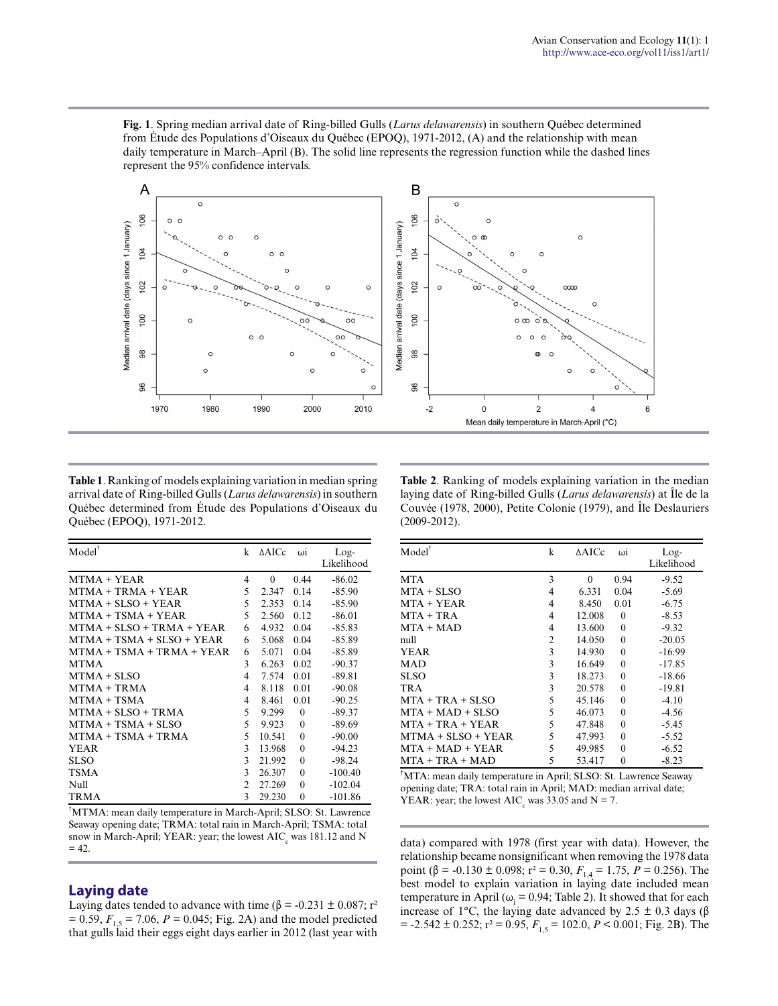**Fig. 1**. Spring median arrival date of Ring-billed Gulls (*Larus delawarensis*) in southern Québec determined from Étude des Populations d'Oiseaux du Québec (EPOQ), 1971-2012, (A) and the relationship with mean daily temperature in March–April (B). The solid line represents the regression function while the dashed lines represent the 95% confidence intervals.



**Table 1**. Ranking of models explaining variation in median spring arrival date of Ring-billed Gulls (*Larus delawarensis*) in southern Québec determined from Étude des Populations d'Oiseaux du Québec (EPOQ), 1971-2012.

| $Model^{\dagger}$           | k | ∆AICc    | $\omega i$   | Log-       |
|-----------------------------|---|----------|--------------|------------|
|                             |   |          |              | Likelihood |
| <b>MTMA + YEAR</b>          | 4 | $\theta$ | 0.44         | $-86.02$   |
| $MTMA + TRMA + YEAR$        | 5 | 2.347    | 0.14         | $-85.90$   |
| $MTMA + SLSO + YEAR$        | 5 | 2.353    | 0.14         | $-85.90$   |
| MTMA + TSMA + YEAR          | 5 | 2.560    | 0.12         | $-86.01$   |
| $MTMA + SLSO + TRMA + YEAR$ | 6 | 4.932    | 0.04         | $-85.83$   |
| $MTMA + TSMA + SLSO + YEAR$ | 6 | 5.068    | 0.04         | $-85.89$   |
| $MTMA + TSMA + TRMA + YEAR$ | 6 | 5.071    | 0.04         | $-85.89$   |
| <b>MTMA</b>                 | 3 | 6.263    | 0.02         | $-90.37$   |
| $MTMA + SLSO$               | 4 | 7.574    | 0.01         | $-89.81$   |
| $MTMA + TRMA$               | 4 | 8.118    | 0.01         | $-90.08$   |
| MTMA + TSMA                 | 4 | 8.461    | 0.01         | $-90.25$   |
| MTMA + SLSO + TRMA          | 5 | 9.299    | $\mathbf{0}$ | $-89.37$   |
| MTMA + TSMA + SLSO          | 5 | 9.923    | $\theta$     | $-89.69$   |
| MTMA + TSMA + TRMA          | 5 | 10.541   | $\theta$     | $-90.00$   |
| YEAR                        | 3 | 13.968   | $\theta$     | $-94.23$   |
| <b>SLSO</b>                 | 3 | 21.992   | $\theta$     | $-98.24$   |
| <b>TSMA</b>                 | 3 | 26.307   | $\theta$     | $-100.40$  |
| Null                        | 2 | 27.269   | $\theta$     | $-102.04$  |
| <b>TRMA</b>                 | 3 | 29.230   | $\theta$     | $-101.86$  |

†MTMA: mean daily temperature in March-April; SLSO: St. Lawrence Seaway opening date; TRMA: total rain in March-April; TSMA: total snow in March-April; YEAR: year; the lowest  $AIC_c$  was 181.12 and N  $= 42.$ 

# **Laying date**

Laying dates tended to advance with time ( $\beta$  = -0.231  $\pm$  0.087; r<sup>2</sup>  $= 0.59, F<sub>1.5</sub> = 7.06, P = 0.045; Fig. 2A)$  and the model predicted that gulls laid their eggs eight days earlier in 2012 (last year with

**Table 2**. Ranking of models explaining variation in the median laying date of Ring-billed Gulls (*Larus delawarensis*) at Île de la Couvée (1978, 2000), Petite Colonie (1979), and Île Deslauriers (2009-2012).

| $Model^{\dagger}$    | k              | <b>AAICc</b> | $\omega i$ | Log-<br>Likelihood |
|----------------------|----------------|--------------|------------|--------------------|
| <b>MTA</b>           | 3              | $\Omega$     | 0.94       | $-9.52$            |
| $MTA + SLSO$         | 4              | 6.331        | 0.04       | $-5.69$            |
| MTA + YEAR           | 4              | 8.450        | 0.01       | $-6.75$            |
| $MTA + TRA$          | 4              | 12.008       | $\Omega$   | $-8.53$            |
| $MTA + MAD$          | 4              | 13.600       | $\Omega$   | $-9.32$            |
| null                 | $\overline{2}$ | 14.050       | $\Omega$   | $-20.05$           |
| <b>YEAR</b>          | 3              | 14.930       | $\theta$   | $-16.99$           |
| <b>MAD</b>           | 3              | 16.649       | $\theta$   | $-17.85$           |
| SLSO                 | 3              | 18.273       | $\theta$   | $-18.66$           |
| <b>TRA</b>           | 3              | 20.578       | $\theta$   | $-19.81$           |
| $MTA + TRA + SLSO$   | 5              | 45.146       | $\theta$   | $-4.10$            |
| $MTA + MAD + SLSO$   | 5              | 46.073       | $\theta$   | $-4.56$            |
| $MTA + TRA + YEAR$   | 5              | 47.848       | $\theta$   | $-5.45$            |
| $MTMA + SLSO + YEAR$ | 5              | 47.993       | $\theta$   | $-5.52$            |
| MTA + MAD + YEAR     | 5              | 49.985       | $\Omega$   | $-6.52$            |
| $MTA + TRA + MAD$    | 5              | 53.417       | 0          | $-8.23$            |

†MTA: mean daily temperature in April; SLSO: St. Lawrence Seaway opening date; TRA: total rain in April; MAD: median arrival date; YEAR: year; the lowest  $AIC_c$  was 33.05 and  $N = 7$ .

data) compared with 1978 (first year with data). However, the relationship became nonsignificant when removing the 1978 data point (β = -0.130 ± 0.098;  $r^2 = 0.30$ ,  $F_{14} = 1.75$ ,  $P = 0.256$ ). The best model to explain variation in laying date included mean temperature in April ( $\omega$ <sub>i</sub> = 0.94; Table 2). It showed that for each increase of 1°C, the laying date advanced by 2.5  $\pm$  0.3 days (β  $=$  -2.542 ± 0.252;  $r^2$  = 0.95,  $F_{1.5}$  = 102.0,  $P$  < 0.001; Fig. 2B). The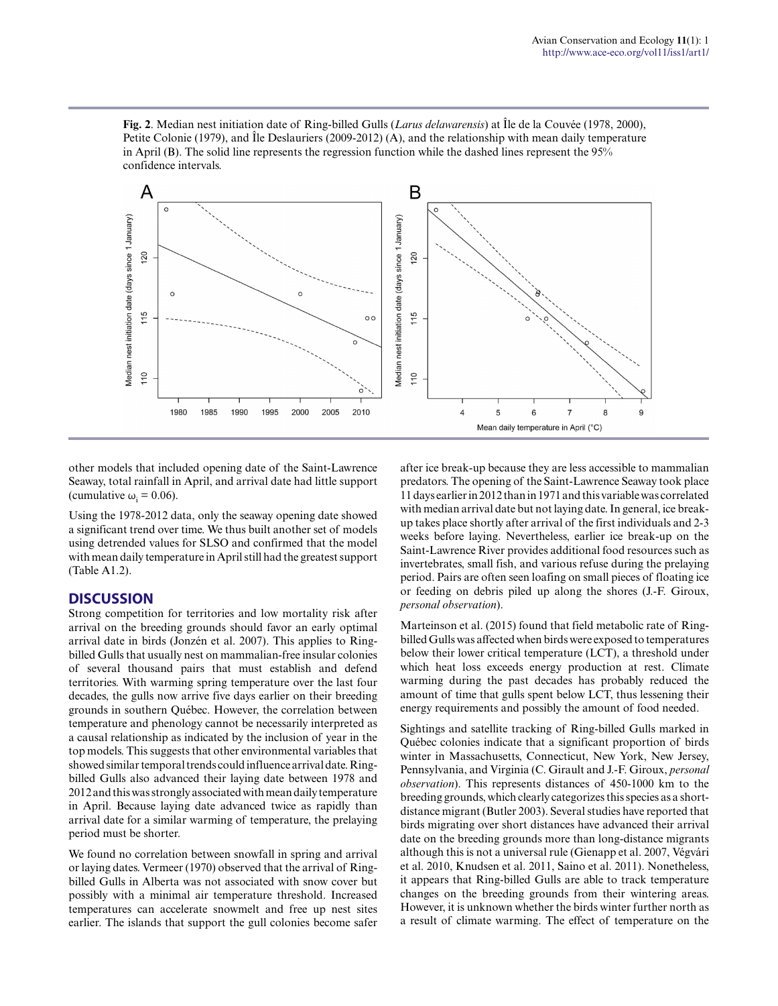



other models that included opening date of the Saint-Lawrence Seaway, total rainfall in April, and arrival date had little support (cumulative  $\omega_i = 0.06$ ).

Using the 1978-2012 data, only the seaway opening date showed a significant trend over time. We thus built another set of models using detrended values for SLSO and confirmed that the model with mean daily temperature in April still had the greatest support (Table A1.2).

# **DISCUSSION**

Strong competition for territories and low mortality risk after arrival on the breeding grounds should favor an early optimal arrival date in birds (Jonzén et al. 2007). This applies to Ringbilled Gulls that usually nest on mammalian-free insular colonies of several thousand pairs that must establish and defend territories. With warming spring temperature over the last four decades, the gulls now arrive five days earlier on their breeding grounds in southern Québec. However, the correlation between temperature and phenology cannot be necessarily interpreted as a causal relationship as indicated by the inclusion of year in the top models. This suggests that other environmental variables that showed similar temporal trends could influence arrival date. Ringbilled Gulls also advanced their laying date between 1978 and 2012 and this was strongly associated with mean daily temperature in April. Because laying date advanced twice as rapidly than arrival date for a similar warming of temperature, the prelaying period must be shorter.

We found no correlation between snowfall in spring and arrival or laying dates. Vermeer (1970) observed that the arrival of Ringbilled Gulls in Alberta was not associated with snow cover but possibly with a minimal air temperature threshold. Increased temperatures can accelerate snowmelt and free up nest sites earlier. The islands that support the gull colonies become safer after ice break-up because they are less accessible to mammalian predators. The opening of the Saint-Lawrence Seaway took place 11 days earlier in 2012 than in 1971 and this variable was correlated with median arrival date but not laying date. In general, ice breakup takes place shortly after arrival of the first individuals and 2-3 weeks before laying. Nevertheless, earlier ice break-up on the Saint-Lawrence River provides additional food resources such as invertebrates, small fish, and various refuse during the prelaying period. Pairs are often seen loafing on small pieces of floating ice or feeding on debris piled up along the shores (J.-F. Giroux, *personal observation*).

Marteinson et al. (2015) found that field metabolic rate of Ringbilled Gulls was affected when birds were exposed to temperatures below their lower critical temperature (LCT), a threshold under which heat loss exceeds energy production at rest. Climate warming during the past decades has probably reduced the amount of time that gulls spent below LCT, thus lessening their energy requirements and possibly the amount of food needed.

Sightings and satellite tracking of Ring-billed Gulls marked in Québec colonies indicate that a significant proportion of birds winter in Massachusetts, Connecticut, New York, New Jersey, Pennsylvania, and Virginia (C. Girault and J.-F. Giroux, *personal observation*). This represents distances of 450-1000 km to the breeding grounds, which clearly categorizes this species as a shortdistance migrant (Butler 2003). Several studies have reported that birds migrating over short distances have advanced their arrival date on the breeding grounds more than long-distance migrants although this is not a universal rule (Gienapp et al. 2007, Végvári et al. 2010, Knudsen et al. 2011, Saino et al. 2011). Nonetheless, it appears that Ring-billed Gulls are able to track temperature changes on the breeding grounds from their wintering areas. However, it is unknown whether the birds winter further north as a result of climate warming. The effect of temperature on the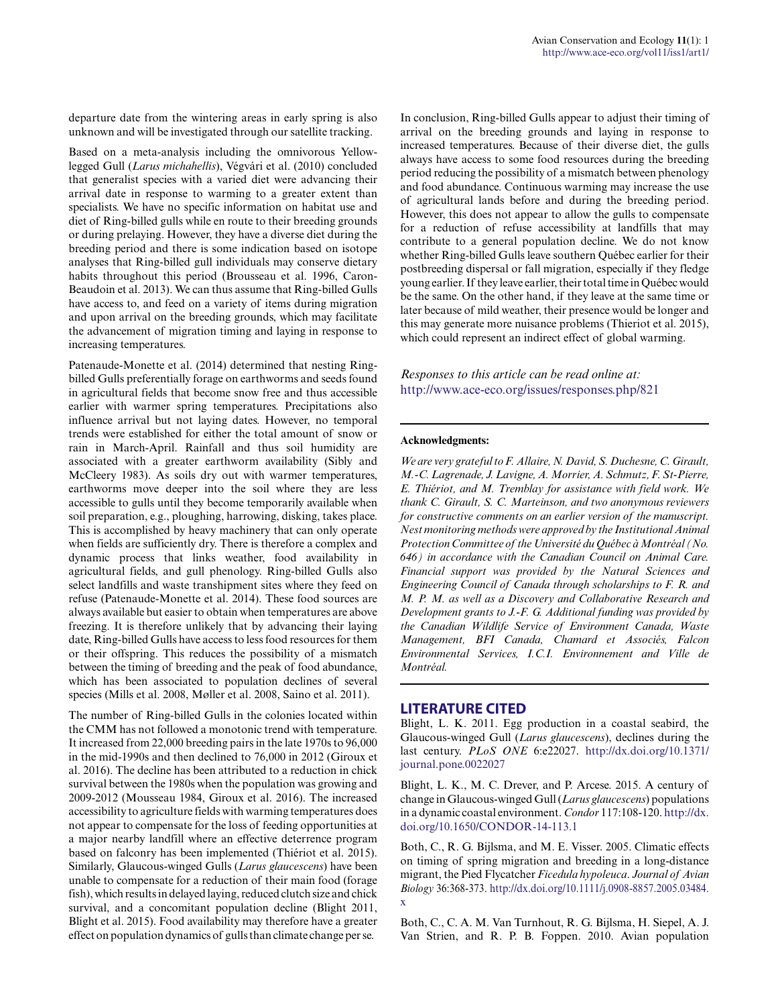departure date from the wintering areas in early spring is also unknown and will be investigated through our satellite tracking.

Based on a meta-analysis including the omnivorous Yellowlegged Gull (*Larus michahellis*), Végvári et al. (2010) concluded that generalist species with a varied diet were advancing their arrival date in response to warming to a greater extent than specialists. We have no specific information on habitat use and diet of Ring-billed gulls while en route to their breeding grounds or during prelaying. However, they have a diverse diet during the breeding period and there is some indication based on isotope analyses that Ring-billed gull individuals may conserve dietary habits throughout this period (Brousseau et al. 1996, Caron-Beaudoin et al. 2013). We can thus assume that Ring-billed Gulls have access to, and feed on a variety of items during migration and upon arrival on the breeding grounds, which may facilitate the advancement of migration timing and laying in response to increasing temperatures.

Patenaude-Monette et al. (2014) determined that nesting Ringbilled Gulls preferentially forage on earthworms and seeds found in agricultural fields that become snow free and thus accessible earlier with warmer spring temperatures. Precipitations also influence arrival but not laying dates. However, no temporal trends were established for either the total amount of snow or rain in March-April. Rainfall and thus soil humidity are associated with a greater earthworm availability (Sibly and McCleery 1983). As soils dry out with warmer temperatures, earthworms move deeper into the soil where they are less accessible to gulls until they become temporarily available when soil preparation, e.g., ploughing, harrowing, disking, takes place. This is accomplished by heavy machinery that can only operate when fields are sufficiently dry. There is therefore a complex and dynamic process that links weather, food availability in agricultural fields, and gull phenology. Ring-billed Gulls also select landfills and waste transhipment sites where they feed on refuse (Patenaude-Monette et al. 2014). These food sources are always available but easier to obtain when temperatures are above freezing. It is therefore unlikely that by advancing their laying date, Ring-billed Gulls have access to less food resources for them or their offspring. This reduces the possibility of a mismatch between the timing of breeding and the peak of food abundance, which has been associated to population declines of several species (Mills et al. 2008, Møller et al. 2008, Saino et al. 2011).

The number of Ring-billed Gulls in the colonies located within the CMM has not followed a monotonic trend with temperature. It increased from 22,000 breeding pairs in the late 1970s to 96,000 in the mid-1990s and then declined to 76,000 in 2012 (Giroux et al. 2016). The decline has been attributed to a reduction in chick survival between the 1980s when the population was growing and 2009-2012 (Mousseau 1984, Giroux et al. 2016). The increased accessibility to agriculture fields with warming temperatures does not appear to compensate for the loss of feeding opportunities at a major nearby landfill where an effective deterrence program based on falconry has been implemented (Thiériot et al. 2015). Similarly, Glaucous-winged Gulls (*Larus glaucescens*) have been unable to compensate for a reduction of their main food (forage fish), which results in delayed laying, reduced clutch size and chick survival, and a concomitant population decline (Blight 2011, Blight et al. 2015). Food availability may therefore have a greater effect on population dynamics of gulls than climate change per se.

In conclusion, Ring-billed Gulls appear to adjust their timing of arrival on the breeding grounds and laying in response to increased temperatures. Because of their diverse diet, the gulls always have access to some food resources during the breeding period reducing the possibility of a mismatch between phenology and food abundance. Continuous warming may increase the use of agricultural lands before and during the breeding period. However, this does not appear to allow the gulls to compensate for a reduction of refuse accessibility at landfills that may contribute to a general population decline. We do not know whether Ring-billed Gulls leave southern Québec earlier for their postbreeding dispersal or fall migration, especially if they fledge young earlier. If they leave earlier, their total time in Québec would be the same. On the other hand, if they leave at the same time or later because of mild weather, their presence would be longer and this may generate more nuisance problems (Thieriot et al. 2015), which could represent an indirect effect of global warming.

*Responses to this article can be read online at:* <http://www.ace-eco.org/issues/responses.php/821>

#### **Acknowledgments:**

*We are very grateful to F. Allaire, N. David, S. Duchesne, C. Girault, M.-C. Lagrenade, J. Lavigne, A. Morrier, A. Schmutz, F. St-Pierre, E. Thiériot, and M. Tremblay for assistance with field work. We thank C. Girault, S. C. Marteinson, and two anonymous reviewers for constructive comments on an earlier version of the manuscript. Nest monitoring methods were approved by the Institutional Animal Protection Committee of the Université du Québec à Montréal (No. 646) in accordance with the Canadian Council on Animal Care. Financial support was provided by the Natural Sciences and Engineering Council of Canada through scholarships to F. R. and M. P. M. as well as a Discovery and Collaborative Research and Development grants to J.-F. G. Additional funding was provided by the Canadian Wildlife Service of Environment Canada, Waste Management, BFI Canada, Chamard et Associés, Falcon Environmental Services, I.C.I. Environnement and Ville de Montréal.*

#### **LITERATURE CITED**

Blight, L. K. 2011. Egg production in a coastal seabird, the Glaucous-winged Gull (*Larus glaucescens*), declines during the last century. *PLoS ONE* 6:e22027. [http://dx.doi.org/10.1371/](http://dx.doi.org/10.1371%2Fjournal.pone.0022027) [journal.pone.0022027](http://dx.doi.org/10.1371%2Fjournal.pone.0022027)

Blight, L. K., M. C. Drever, and P. Arcese. 2015. A century of change in Glaucous-winged Gull (*Larus glaucescens*) populations in a dynamic coastal environment. *Condor* 117:108-120. [http://dx.](http://dx.doi.org/10.1650%2FCONDOR-14-113.1) [doi.org/10.1650/CONDOR-14-113.1](http://dx.doi.org/10.1650%2FCONDOR-14-113.1) 

Both, C., R. G. Bijlsma, and M. E. Visser. 2005. Climatic effects on timing of spring migration and breeding in a long-distance migrant, the Pied Flycatcher *Ficedula hypoleuca*. *Journal of Avian Biology* 36:368-373. [http://dx.doi.org/10.1111/j.0908-8857.2005.03484.](http://dx.doi.org/10.1111%2Fj.0908-8857.2005.03484.x) [x](http://dx.doi.org/10.1111%2Fj.0908-8857.2005.03484.x) 

Both, C., C. A. M. Van Turnhout, R. G. Bijlsma, H. Siepel, A. J. Van Strien, and R. P. B. Foppen. 2010. Avian population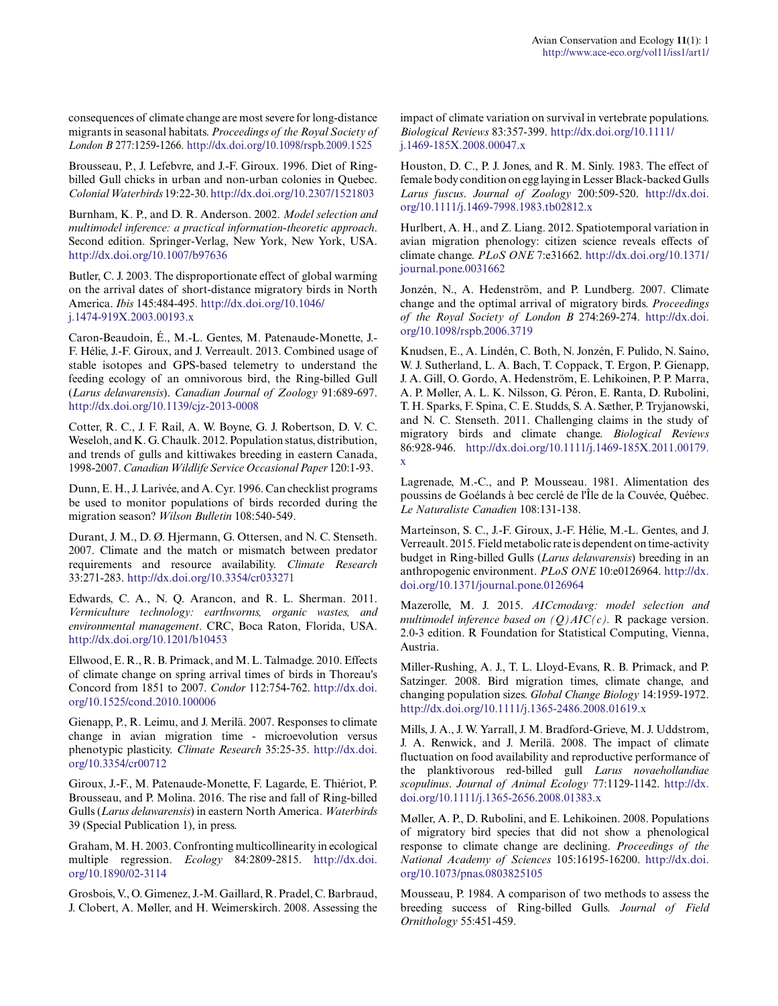consequences of climate change are most severe for long-distance migrants in seasonal habitats. *Proceedings of the Royal Society of London B* 277:1259-1266. [http://dx.doi.org/10.1098/rspb.2009.1525](http://dx.doi.org/10.1098%2Frspb.2009.1525) 

Brousseau, P., J. Lefebvre, and J.-F. Giroux. 1996. Diet of Ringbilled Gull chicks in urban and non-urban colonies in Quebec. *Colonial Waterbirds* 19:22-30. [http://dx.doi.org/10.2307/1521803](http://dx.doi.org/10.2307%2F1521803)

Burnham, K. P., and D. R. Anderson. 2002. *Model selection and multimodel inference: a practical information-theoretic approach*. Second edition. Springer-Verlag, New York, New York, USA. [http://dx.doi.org/10.1007/b97636](http://dx.doi.org/10.1007%2Fb97636) 

Butler, C. J. 2003. The disproportionate effect of global warming on the arrival dates of short-distance migratory birds in North America. *Ibis* 145:484-495. [http://dx.doi.org/10.1046/](http://dx.doi.org/10.1046%2Fj.1474-919X.2003.00193.x) [j.1474-919X.2003.00193.x](http://dx.doi.org/10.1046%2Fj.1474-919X.2003.00193.x) 

Caron-Beaudoin, É., M.-L. Gentes, M. Patenaude-Monette, J.- F. Hélie, J.-F. Giroux, and J. Verreault. 2013. Combined usage of stable isotopes and GPS-based telemetry to understand the feeding ecology of an omnivorous bird, the Ring-billed Gull (*Larus delawarensis*). *Canadian Journal of Zoology* 91:689-697. [http://dx.doi.org/10.1139/cjz-2013-0008](http://dx.doi.org/10.1139%2Fcjz-2013-0008) 

Cotter, R. C., J. F. Rail, A. W. Boyne, G. J. Robertson, D. V. C. Weseloh, and K. G. Chaulk. 2012. Population status, distribution, and trends of gulls and kittiwakes breeding in eastern Canada, 1998-2007. *Canadian Wildlife Service Occasional Paper* 120:1-93.

Dunn, E. H., J. Larivée, and A. Cyr. 1996. Can checklist programs be used to monitor populations of birds recorded during the migration season? *Wilson Bulletin* 108:540-549.

Durant, J. M., D. Ø. Hjermann, G. Ottersen, and N. C. Stenseth. 2007. Climate and the match or mismatch between predator requirements and resource availability. *Climate Research* 33:271-283. [http://dx.doi.org/10.3354/cr033271](http://dx.doi.org/10.3354%2Fcr033271) 

Edwards, C. A., N. Q. Arancon, and R. L. Sherman. 2011. *Vermiculture technology: earthworms, organic wastes, and environmental management*. CRC, Boca Raton, Florida, USA. [http://dx.doi.org/10.1201/b10453](http://dx.doi.org/10.1201%2Fb10453) 

Ellwood, E. R., R. B. Primack, and M. L. Talmadge. 2010. Effects of climate change on spring arrival times of birds in Thoreau's Concord from 1851 to 2007. *Condor* 112:754-762. [http://dx.doi.](http://dx.doi.org/10.1525%2Fcond.2010.100006) [org/10.1525/cond.2010.100006](http://dx.doi.org/10.1525%2Fcond.2010.100006) 

Gienapp, P., R. Leimu, and J. Merilä. 2007. Responses to climate change in avian migration time - microevolution versus phenotypic plasticity. *Climate Research* 35:25-35. [http://dx.doi.](http://dx.doi.org/10.3354%2Fcr00712) [org/10.3354/cr00712](http://dx.doi.org/10.3354%2Fcr00712)

Giroux, J.-F., M. Patenaude-Monette, F. Lagarde, E. Thiériot, P. Brousseau, and P. Molina. 2016. The rise and fall of Ring-billed Gulls (*Larus delawarensis*) in eastern North America. *Waterbirds* 39 (Special Publication 1), in press.

Graham, M. H. 2003. Confronting multicollinearity in ecological multiple regression. *Ecology* 84:2809-2815. [http://dx.doi.](http://dx.doi.org/10.1890%2F02-3114) [org/10.1890/02-3114](http://dx.doi.org/10.1890%2F02-3114)

Grosbois, V., O. Gimenez, J.-M. Gaillard, R. Pradel, C. Barbraud, J. Clobert, A. Møller, and H. Weimerskirch. 2008. Assessing the impact of climate variation on survival in vertebrate populations. *Biological Reviews* 83:357-399. [http://dx.doi.org/10.1111/](http://dx.doi.org/10.1111%2Fj.1469-185X.2008.00047.x) [j.1469-185X.2008.00047.x](http://dx.doi.org/10.1111%2Fj.1469-185X.2008.00047.x) 

Houston, D. C., P. J. Jones, and R. M. Sinly. 1983. The effect of female body condition on egg laying in Lesser Black-backed Gulls *Larus fuscus*. *Journal of Zoology* 200:509-520. [http://dx.doi.](http://dx.doi.org/10.1111%2Fj.1469-7998.1983.tb02812.x) [org/10.1111/j.1469-7998.1983.tb02812.x](http://dx.doi.org/10.1111%2Fj.1469-7998.1983.tb02812.x)

Hurlbert, A. H., and Z. Liang. 2012. Spatiotemporal variation in avian migration phenology: citizen science reveals effects of climate change. *PLoS ONE* 7:e31662. [http://dx.doi.org/10.1371/](http://dx.doi.org/10.1371%2Fjournal.pone.0031662) [journal.pone.0031662](http://dx.doi.org/10.1371%2Fjournal.pone.0031662)

Jonzén, N., A. Hedenström, and P. Lundberg. 2007. Climate change and the optimal arrival of migratory birds. *Proceedings of the Royal Society of London B* 274:269-274. [http://dx.doi.](http://dx.doi.org/10.1098%2Frspb.2006.3719) [org/10.1098/rspb.2006.3719](http://dx.doi.org/10.1098%2Frspb.2006.3719)

Knudsen, E., A. Lindén, C. Both, N. Jonzén, F. Pulido, N. Saino, W. J. Sutherland, L. A. Bach, T. Coppack, T. Ergon, P. Gienapp, J. A. Gill, O. Gordo, A. Hedenström, E. Lehikoinen, P. P. Marra, A. P. Møller, A. L. K. Nilsson, G. Péron, E. Ranta, D. Rubolini, T. H. Sparks, F. Spina, C. E. Studds, S. A. Sæther, P. Tryjanowski, and N. C. Stenseth. 2011. Challenging claims in the study of migratory birds and climate change. *Biological Reviews* 86:928-946. [http://dx.doi.org/10.1111/j.1469-185X.2011.00179.](http://dx.doi.org/10.1111%2Fj.1469-185X.2011.00179.x) [x](http://dx.doi.org/10.1111%2Fj.1469-185X.2011.00179.x) 

Lagrenade, M.-C., and P. Mousseau. 1981. Alimentation des poussins de Goélands à bec cerclé de l'Île de la Couvée, Québec. *Le Naturaliste Canadien* 108:131-138.

Marteinson, S. C., J.-F. Giroux, J.-F. Hélie, M.-L. Gentes, and J. Verreault. 2015. Field metabolic rate is dependent on time-activity budget in Ring-billed Gulls (*Larus delawarensis*) breeding in an anthropogenic environment. *PLoS ONE* 10:e0126964. [http://dx.](http://dx.doi.org/10.1371%2Fjournal.pone.0126964) [doi.org/10.1371/journal.pone.0126964](http://dx.doi.org/10.1371%2Fjournal.pone.0126964)

Mazerolle, M. J. 2015. *AICcmodavg: model selection and multimodel inference based on (Q)AIC(c).* R package version. 2.0-3 edition. R Foundation for Statistical Computing, Vienna, Austria.

Miller-Rushing, A. J., T. L. Lloyd-Evans, R. B. Primack, and P. Satzinger. 2008. Bird migration times, climate change, and changing population sizes. *Global Change Biology* 14:1959-1972. [http://dx.doi.org/10.1111/j.1365-2486.2008.01619.x](http://dx.doi.org/10.1111%2Fj.1365-2486.2008.01619.x) 

Mills, J. A., J. W. Yarrall, J. M. Bradford-Grieve, M. J. Uddstrom, J. A. Renwick, and J. Merilä. 2008. The impact of climate fluctuation on food availability and reproductive performance of the planktivorous red-billed gull *Larus novaehollandiae scopulinus*. *Journal of Animal Ecology* 77:1129-1142. [http://dx.](http://dx.doi.org/10.1111%2Fj.1365-2656.2008.01383.x) [doi.org/10.1111/j.1365-2656.2008.01383.x](http://dx.doi.org/10.1111%2Fj.1365-2656.2008.01383.x)

Møller, A. P., D. Rubolini, and E. Lehikoinen. 2008. Populations of migratory bird species that did not show a phenological response to climate change are declining. *Proceedings of the National Academy of Sciences* 105:16195-16200. [http://dx.doi.](http://dx.doi.org/10.1073%2Fpnas.0803825105) [org/10.1073/pnas.0803825105](http://dx.doi.org/10.1073%2Fpnas.0803825105) 

Mousseau, P. 1984. A comparison of two methods to assess the breeding success of Ring-billed Gulls. *Journal of Field Ornithology* 55:451-459.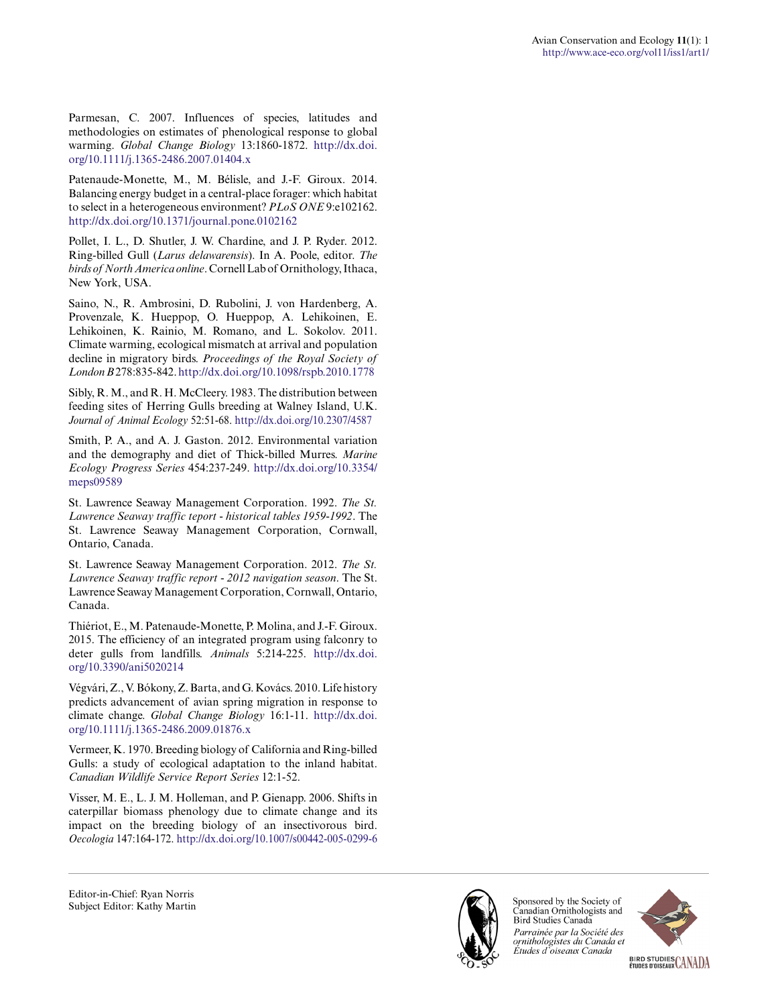Parmesan, C. 2007. Influences of species, latitudes and methodologies on estimates of phenological response to global warming. *Global Change Biology* 13:1860-1872. [http://dx.doi.](http://dx.doi.org/10.1111%2Fj.1365-2486.2007.01404.x) [org/10.1111/j.1365-2486.2007.01404.x](http://dx.doi.org/10.1111%2Fj.1365-2486.2007.01404.x)

Patenaude-Monette, M., M. Bélisle, and J.-F. Giroux. 2014. Balancing energy budget in a central-place forager: which habitat to select in a heterogeneous environment? *PLoS ONE* 9:e102162. [http://dx.doi.org/10.1371/journal.pone.0102162](http://dx.doi.org/10.1371%2Fjournal.pone.0102162) 

Pollet, I. L., D. Shutler, J. W. Chardine, and J. P. Ryder. 2012. Ring-billed Gull (*Larus delawarensis*). In A. Poole, editor. *The birds of North America online*. Cornell Lab of Ornithology, Ithaca, New York, USA.

Saino, N., R. Ambrosini, D. Rubolini, J. von Hardenberg, A. Provenzale, K. Hueppop, O. Hueppop, A. Lehikoinen, E. Lehikoinen, K. Rainio, M. Romano, and L. Sokolov. 2011. Climate warming, ecological mismatch at arrival and population decline in migratory birds. *Proceedings of the Royal Society of London B* 278:835-842. [http://dx.doi.org/10.1098/rspb.2010.1778](http://dx.doi.org/10.1098%2Frspb.2010.1778) 

Sibly, R. M., and R. H. McCleery. 1983. The distribution between feeding sites of Herring Gulls breeding at Walney Island, U.K. *Journal of Animal Ecology* 52:51-68. [http://dx.doi.org/10.2307/4587](http://dx.doi.org/10.2307%2F4587) 

Smith, P. A., and A. J. Gaston. 2012. Environmental variation and the demography and diet of Thick-billed Murres. *Marine Ecology Progress Series* 454:237-249. [http://dx.doi.org/10.3354/](http://dx.doi.org/10.3354%2Fmeps09589) [meps09589](http://dx.doi.org/10.3354%2Fmeps09589)

St. Lawrence Seaway Management Corporation. 1992. *The St. Lawrence Seaway traffic teport - historical tables 1959-1992*. The St. Lawrence Seaway Management Corporation, Cornwall, Ontario, Canada.

St. Lawrence Seaway Management Corporation. 2012. *The St. Lawrence Seaway traffic report - 2012 navigation season*. The St. Lawrence Seaway Management Corporation, Cornwall, Ontario, Canada.

Thiériot, E., M. Patenaude-Monette, P. Molina, and J.-F. Giroux. 2015. The efficiency of an integrated program using falconry to deter gulls from landfills. *Animals* 5:214-225. [http://dx.doi.](http://dx.doi.org/10.3390%2Fani5020214) [org/10.3390/ani5020214](http://dx.doi.org/10.3390%2Fani5020214) 

Végvári, Z., V. Bókony, Z. Barta, and G. Kovács. 2010. Life history predicts advancement of avian spring migration in response to climate change. *Global Change Biology* 16:1-11. [http://dx.doi.](http://dx.doi.org/10.1111%2Fj.1365-2486.2009.01876.x) [org/10.1111/j.1365-2486.2009.01876.x](http://dx.doi.org/10.1111%2Fj.1365-2486.2009.01876.x)

Vermeer, K. 1970. Breeding biology of California and Ring-billed Gulls: a study of ecological adaptation to the inland habitat. *Canadian Wildlife Service Report Series* 12:1-52.

Visser, M. E., L. J. M. Holleman, and P. Gienapp. 2006. Shifts in caterpillar biomass phenology due to climate change and its impact on the breeding biology of an insectivorous bird. *Oecologia* 147:164-172. [http://dx.doi.org/10.1007/s00442-005-0299-6](http://dx.doi.org/10.1007%2Fs00442-005-0299-6)

Editor-in-Chief: Ryan Norris Subject Editor: Kathy Martin



Sponsored by the Society of Canadian Ornithologists and Bird Studies Canada Parrainée par la Société des ornithologistes du Canada et Études d'oiseaux Canada



BIRD STUDIES CANADA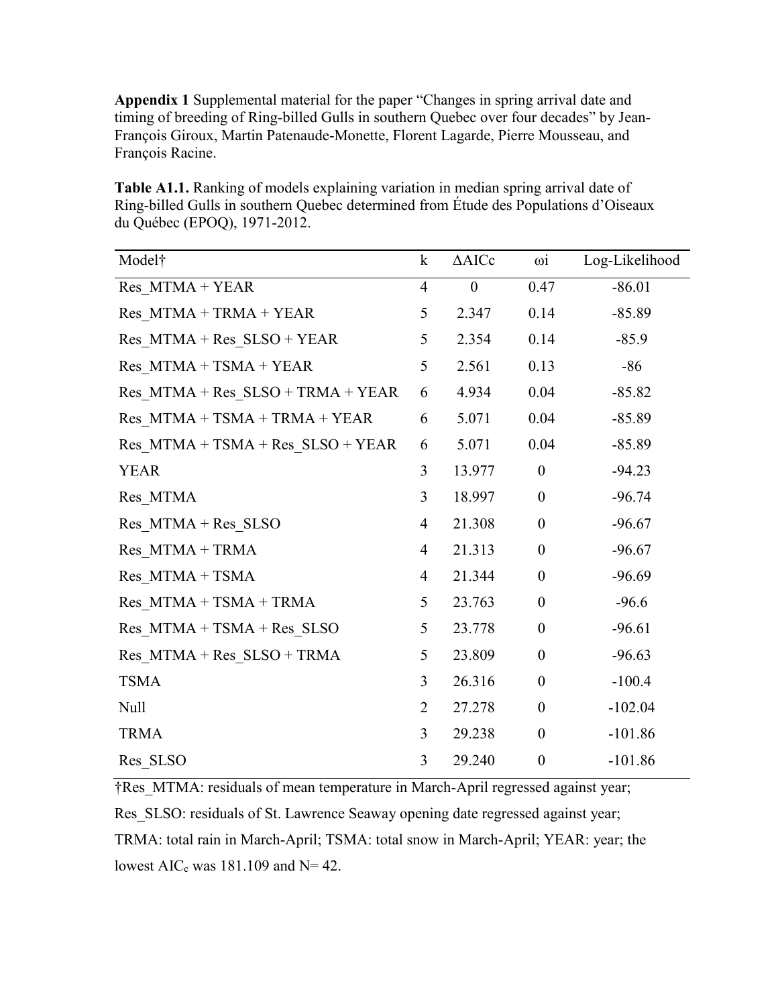**Appendix 1** Supplemental material for the paper "Changes in spring arrival date and timing of breeding of Ring-billed Gulls in southern Quebec over four decades" by Jean-François Giroux, Martin Patenaude-Monette, Florent Lagarde, Pierre Mousseau, and François Racine.

**Table A1.1.** Ranking of models explaining variation in median spring arrival date of Ring-billed Gulls in southern Quebec determined from Étude des Populations d'Oiseaux du Québec (EPOQ), 1971-2012.

| Model <sup>†</sup>                      | $\mathbf k$    | $\triangle$ AICc | $\omega i$       | Log-Likelihood |
|-----------------------------------------|----------------|------------------|------------------|----------------|
| Res MTMA + YEAR                         | $\overline{4}$ | $\boldsymbol{0}$ | 0.47             | $-86.01$       |
| $Res MTMA + TRMA + YEAR$                | 5              | 2.347            | 0.14             | $-85.89$       |
| $Res MTMA + Res SLSO + YEAR$            | 5              | 2.354            | 0.14             | $-85.9$        |
| $Res MTMA + TSMA + YEAR$                | 5              | 2.561            | 0.13             | $-86$          |
| $Res_{MTMA}$ + Res $SLSO$ + TRMA + YEAR | 6              | 4.934            | 0.04             | $-85.82$       |
| $Res_MTMA + TSMA + TRMA + YEAR$         | 6              | 5.071            | 0.04             | $-85.89$       |
| $Res MTMA + TSMA + Res SLSO + YEAR$     | 6              | 5.071            | 0.04             | $-85.89$       |
| <b>YEAR</b>                             | 3              | 13.977           | $\boldsymbol{0}$ | $-94.23$       |
| Res MTMA                                | 3              | 18.997           | $\boldsymbol{0}$ | $-96.74$       |
| Res MTMA + Res SLSO                     | $\overline{4}$ | 21.308           | $\boldsymbol{0}$ | $-96.67$       |
| Res MTMA + TRMA                         | $\overline{4}$ | 21.313           | $\overline{0}$   | $-96.67$       |
| Res MTMA + TSMA                         | $\overline{4}$ | 21.344           | $\theta$         | $-96.69$       |
| Res MTMA + TSMA + TRMA                  | 5              | 23.763           | $\overline{0}$   | $-96.6$        |
| Res MTMA + TSMA + Res SLSO              | 5              | 23.778           | $\boldsymbol{0}$ | $-96.61$       |
| Res MTMA + Res SLSO + TRMA              | 5              | 23.809           | $\boldsymbol{0}$ | $-96.63$       |
| <b>TSMA</b>                             | 3              | 26.316           | $\boldsymbol{0}$ | $-100.4$       |
| Null                                    | $\overline{2}$ | 27.278           | $\boldsymbol{0}$ | $-102.04$      |
| <b>TRMA</b>                             | 3              | 29.238           | $\boldsymbol{0}$ | $-101.86$      |
| Res SLSO                                | 3              | 29.240           | $\boldsymbol{0}$ | $-101.86$      |

†Res\_MTMA: residuals of mean temperature in March-April regressed against year; Res SLSO: residuals of St. Lawrence Seaway opening date regressed against year; TRMA: total rain in March-April; TSMA: total snow in March-April; YEAR: year; the lowest  $AIC_c$  was 181.109 and N= 42.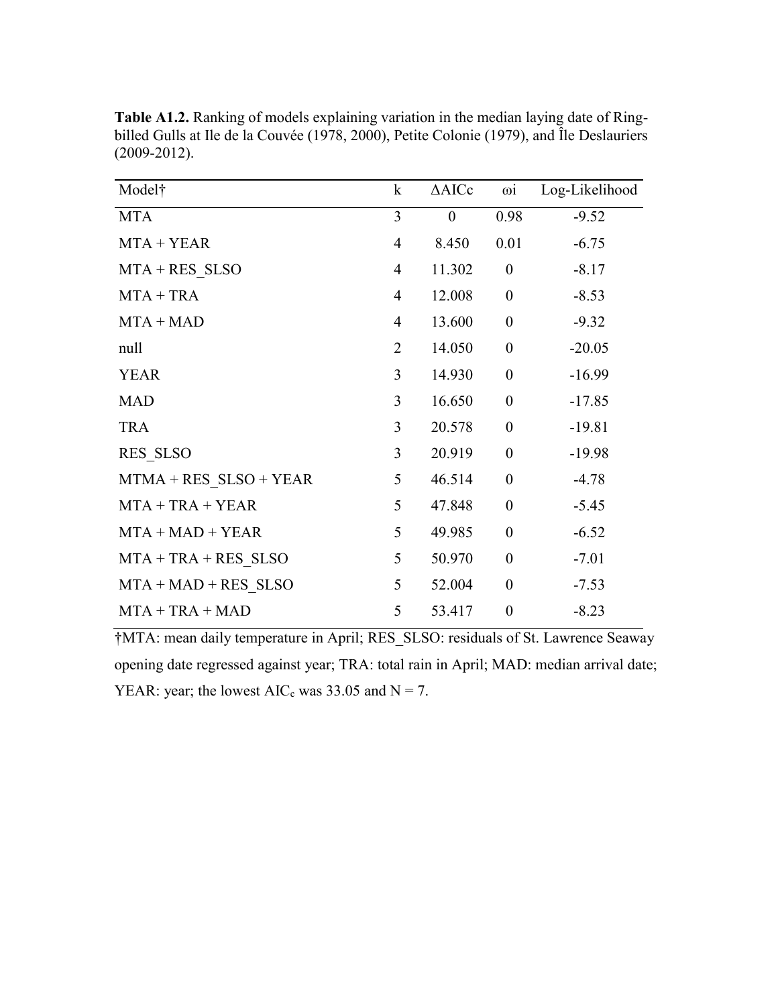| Model <sup>†</sup>         | $\mathbf k$    | $\triangle$ AICc | $\omega$ i       | Log-Likelihood |
|----------------------------|----------------|------------------|------------------|----------------|
| <b>MTA</b>                 | 3              | $\theta$         | 0.98             | $-9.52$        |
| $MTA + YEAR$               | $\overline{4}$ | 8.450            | 0.01             | $-6.75$        |
| $MTA + RES$ SLSO           | $\overline{4}$ | 11.302           | $\boldsymbol{0}$ | $-8.17$        |
| $MTA + TRA$                | 4              | 12.008           | $\boldsymbol{0}$ | $-8.53$        |
| $MTA + MAD$                | $\overline{4}$ | 13.600           | $\boldsymbol{0}$ | $-9.32$        |
| null                       | $\overline{2}$ | 14.050           | $\boldsymbol{0}$ | $-20.05$       |
| <b>YEAR</b>                | 3              | 14.930           | $\boldsymbol{0}$ | $-16.99$       |
| <b>MAD</b>                 | 3              | 16.650           | $\overline{0}$   | $-17.85$       |
| <b>TRA</b>                 | 3              | 20.578           | $\boldsymbol{0}$ | $-19.81$       |
| RES_SLSO                   | 3              | 20.919           | $\boldsymbol{0}$ | $-19.98$       |
| $MTMA + RES$ $SLSO + YEAR$ | 5              | 46.514           | $\boldsymbol{0}$ | $-4.78$        |
| $MTA + TRA + YEAR$         | 5              | 47.848           | $\boldsymbol{0}$ | $-5.45$        |
| $MTA + MAD + YEAR$         | 5              | 49.985           | $\overline{0}$   | $-6.52$        |
| $MTA + TRA + RES$ SLSO     | 5              | 50.970           | $\boldsymbol{0}$ | $-7.01$        |
| $MTA + MAD + RES$ SLSO     | 5              | 52.004           | $\boldsymbol{0}$ | $-7.53$        |
| $MTA + TRA + MAD$          | 5              | 53.417           | $\boldsymbol{0}$ | $-8.23$        |

**Table A1.2.** Ranking of models explaining variation in the median laying date of Ringbilled Gulls at Ile de la Couvée (1978, 2000), Petite Colonie (1979), and Île Deslauriers (2009-2012).

†MTA: mean daily temperature in April; RES\_SLSO: residuals of St. Lawrence Seaway opening date regressed against year; TRA: total rain in April; MAD: median arrival date; YEAR: year; the lowest  $AIC_c$  was 33.05 and  $N = 7$ .